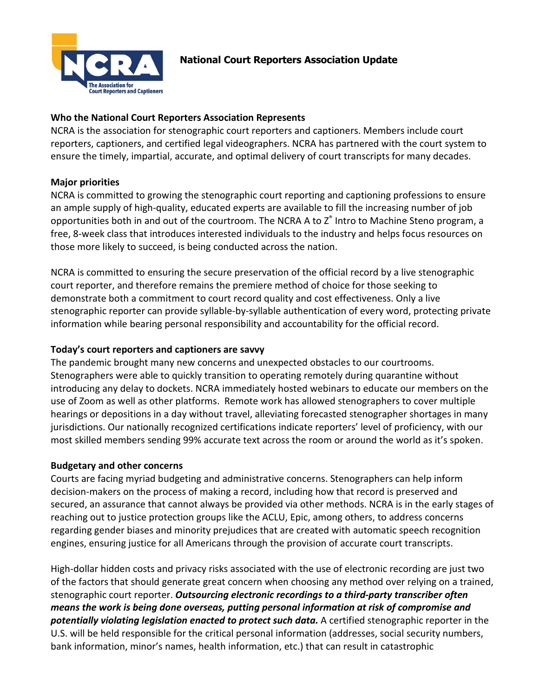

# **National Court Reporters Association Update**

### **Who the National Court Reporters Association Represents**

NCRA is the association for stenographic court reporters and captioners. Members include court reporters, captioners, and certified legal videographers. NCRA has partnered with the court system to ensure the timely, impartial, accurate, and optimal delivery of court transcripts for many decades.

## **Major priorities**

NCRA is committed to growing the stenographic court reporting and captioning professions to ensure an ample supply of high-quality, educated experts are available to fill the increasing number of job opportunities both in and out of the courtroom. The NCRA A to Z® Intro to Machine Steno program, a free, 8-week class that introduces interested individuals to the industry and helps focus resources on those more likely to succeed, is being conducted across the nation.

NCRA is committed to ensuring the secure preservation of the official record by a live stenographic court reporter, and therefore remains the premiere method of choice for those seeking to demonstrate both a commitment to court record quality and cost effectiveness. Only a live stenographic reporter can provide syllable-by-syllable authentication of every word, protecting private information while bearing personal responsibility and accountability for the official record.

#### **Today's court reporters and captioners are savvy**

The pandemic brought many new concerns and unexpected obstacles to our courtrooms. Stenographers were able to quickly transition to operating remotely during quarantine without introducing any delay to dockets. NCRA immediately hosted webinars to educate our members on the use of Zoom as well as other platforms. Remote work has allowed stenographers to cover multiple hearings or depositions in a day without travel, alleviating forecasted stenographer shortages in many jurisdictions. Our nationally recognized certifications indicate reporters' level of proficiency, with our most skilled members sending 99% accurate text across the room or around the world as it's spoken.

#### **Budgetary and other concerns**

Courts are facing myriad budgeting and administrative concerns. Stenographers can help inform decision-makers on the process of making a record, including how that record is preserved and secured, an assurance that cannot always be provided via other methods. NCRA is in the early stages of reaching out to justice protection groups like the ACLU, Epic, among others, to address concerns regarding gender biases and minority prejudices that are created with automatic speech recognition engines, ensuring justice for all Americans through the provision of accurate court transcripts.

High-dollar hidden costs and privacy risks associated with the use of electronic recording are just two of the factors that should generate great concern when choosing any method over relying on a trained, stenographic court reporter. *Outsourcing electronic recordings to a third-party transcriber often means the work is being done overseas, putting personal information at risk of compromise and potentially violating legislation enacted to protect such data.* A certified stenographic reporter in the U.S. will be held responsible for the critical personal information (addresses, social security numbers, bank information, minor's names, health information, etc.) that can result in catastrophic